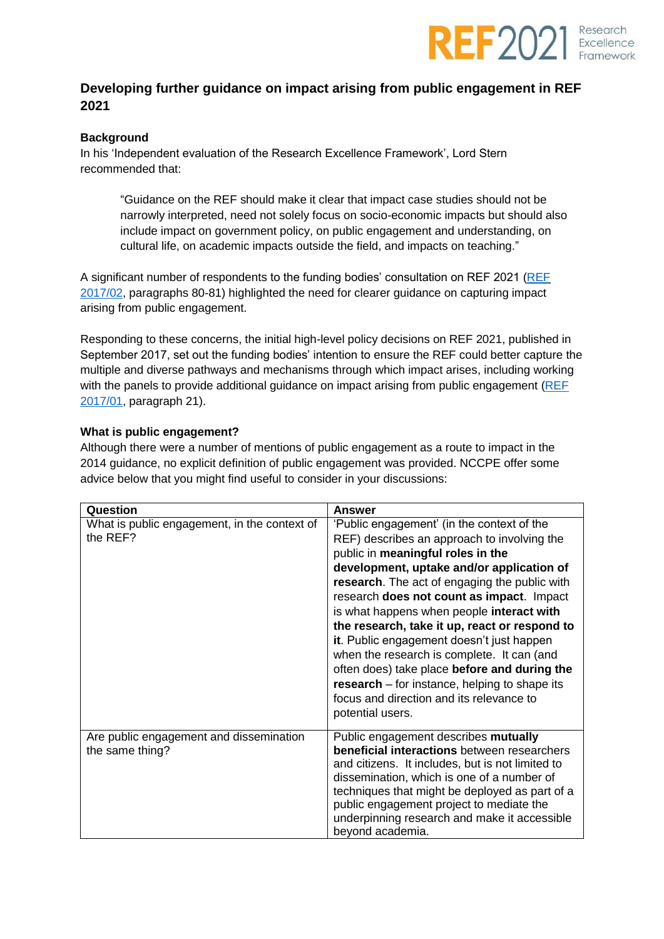

# **Developing further guidance on impact arising from public engagement in REF 2021**

### **Background**

In his 'Independent evaluation of the Research Excellence Framework', Lord Stern recommended that:

"Guidance on the REF should make it clear that impact case studies should not be narrowly interpreted, need not solely focus on socio-economic impacts but should also include impact on government policy, on public engagement and understanding, on cultural life, on academic impacts outside the field, and impacts on teaching."

A significant number of respondents to the funding bodies' consultation on REF 2021 [\(REF](http://www.ref.ac.uk/publications/2017/consultationonthesecondresearchexcellenceframeworksummaryofresponses.html)  [2017/02,](http://www.ref.ac.uk/publications/2017/consultationonthesecondresearchexcellenceframeworksummaryofresponses.html) paragraphs 80-81) highlighted the need for clearer guidance on capturing impact arising from public engagement.

Responding to these concerns, the initial high-level policy decisions on REF 2021, published in September 2017, set out the funding bodies' intention to ensure the REF could better capture the multiple and diverse pathways and mechanisms through which impact arises, including working with the panels to provide additional guidance on impact arising from public engagement (REF) [2017/01,](http://www.ref.ac.uk/publications/2017/initialdecisionsontheresearchexcellenceframework2021.html) paragraph 21).

#### **What is public engagement?**

Although there were a number of mentions of public engagement as a route to impact in the 2014 guidance, no explicit definition of public engagement was provided. NCCPE offer some advice below that you might find useful to consider in your discussions:

| Question                                                   | Answer                                                                                                                                                                                                                                                                                                                                                                                                                                                                                                                                                                                                                                |
|------------------------------------------------------------|---------------------------------------------------------------------------------------------------------------------------------------------------------------------------------------------------------------------------------------------------------------------------------------------------------------------------------------------------------------------------------------------------------------------------------------------------------------------------------------------------------------------------------------------------------------------------------------------------------------------------------------|
| What is public engagement, in the context of<br>the REF?   | 'Public engagement' (in the context of the<br>REF) describes an approach to involving the<br>public in meaningful roles in the<br>development, uptake and/or application of<br>research. The act of engaging the public with<br>research does not count as impact. Impact<br>is what happens when people interact with<br>the research, take it up, react or respond to<br>it. Public engagement doesn't just happen<br>when the research is complete. It can (and<br>often does) take place before and during the<br>research $-$ for instance, helping to shape its<br>focus and direction and its relevance to<br>potential users. |
| Are public engagement and dissemination<br>the same thing? | Public engagement describes mutually<br>beneficial interactions between researchers<br>and citizens. It includes, but is not limited to<br>dissemination, which is one of a number of<br>techniques that might be deployed as part of a<br>public engagement project to mediate the<br>underpinning research and make it accessible<br>beyond academia.                                                                                                                                                                                                                                                                               |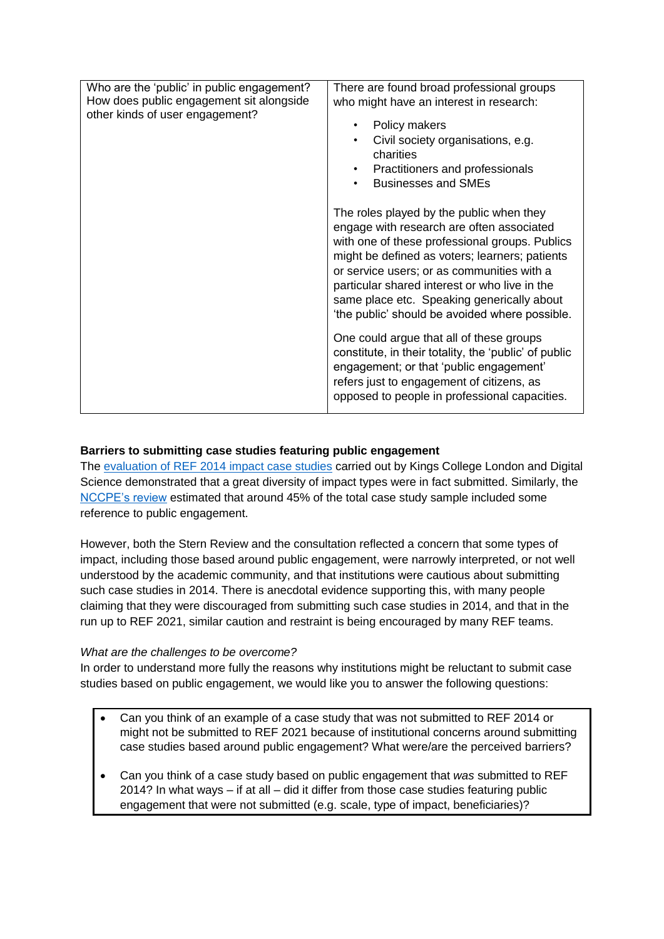| Who are the 'public' in public engagement?<br>How does public engagement sit alongside<br>other kinds of user engagement? | There are found broad professional groups<br>who might have an interest in research:<br>Policy makers<br>Civil society organisations, e.g.<br>charities<br>Practitioners and professionals<br><b>Businesses and SMEs</b><br>The roles played by the public when they<br>engage with research are often associated<br>with one of these professional groups. Publics<br>might be defined as voters; learners; patients<br>or service users; or as communities with a<br>particular shared interest or who live in the<br>same place etc. Speaking generically about<br>'the public' should be avoided where possible. |
|---------------------------------------------------------------------------------------------------------------------------|----------------------------------------------------------------------------------------------------------------------------------------------------------------------------------------------------------------------------------------------------------------------------------------------------------------------------------------------------------------------------------------------------------------------------------------------------------------------------------------------------------------------------------------------------------------------------------------------------------------------|
|                                                                                                                           | One could argue that all of these groups<br>constitute, in their totality, the 'public' of public<br>engagement; or that 'public engagement'<br>refers just to engagement of citizens, as<br>opposed to people in professional capacities.                                                                                                                                                                                                                                                                                                                                                                           |

# **Barriers to submitting case studies featuring public engagement**

The [evaluation of REF 2014 impact case studies](https://www.kcl.ac.uk/sspp/policy-institute/publications/Analysis-of-REF-impact.pdf) carried out by Kings College London and Digital Science demonstrated that a great diversity of impact types were in fact submitted. Similarly, the [NCCPE's review](https://www.publicengagement.ac.uk/sites/default/files/publication/nccpe_ref_review_executive_summary.pdf) estimated that around 45% of the total case study sample included some reference to public engagement.

However, both the Stern Review and the consultation reflected a concern that some types of impact, including those based around public engagement, were narrowly interpreted, or not well understood by the academic community, and that institutions were cautious about submitting such case studies in 2014. There is anecdotal evidence supporting this, with many people claiming that they were discouraged from submitting such case studies in 2014, and that in the run up to REF 2021, similar caution and restraint is being encouraged by many REF teams.

## *What are the challenges to be overcome?*

In order to understand more fully the reasons why institutions might be reluctant to submit case studies based on public engagement, we would like you to answer the following questions:

- Can you think of an example of a case study that was not submitted to REF 2014 or might not be submitted to REF 2021 because of institutional concerns around submitting case studies based around public engagement? What were/are the perceived barriers?
- Can you think of a case study based on public engagement that *was* submitted to REF 2014? In what ways – if at all – did it differ from those case studies featuring public engagement that were not submitted (e.g. scale, type of impact, beneficiaries)?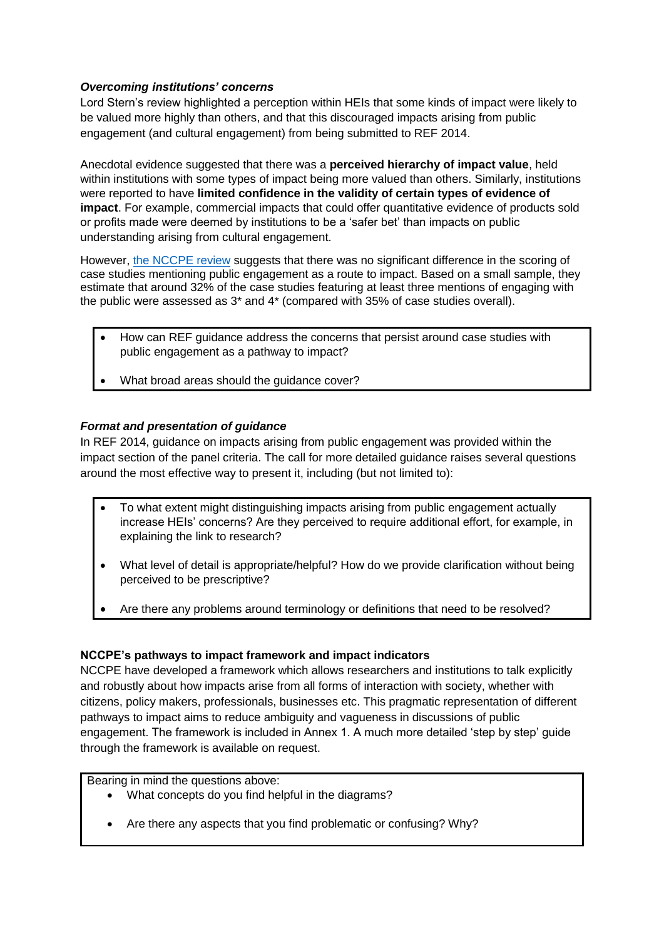## *Overcoming institutions' concerns*

Lord Stern's review highlighted a perception within HEIs that some kinds of impact were likely to be valued more highly than others, and that this discouraged impacts arising from public engagement (and cultural engagement) from being submitted to REF 2014.

Anecdotal evidence suggested that there was a **perceived hierarchy of impact value**, held within institutions with some types of impact being more valued than others. Similarly, institutions were reported to have **limited confidence in the validity of certain types of evidence of impact**. For example, commercial impacts that could offer quantitative evidence of products sold or profits made were deemed by institutions to be a 'safer bet' than impacts on public understanding arising from cultural engagement.

However, [the NCCPE review](https://www.publicengagement.ac.uk/sites/default/files/publication/nccpe_ref_review_executive_summary.pdf) suggests that there was no significant difference in the scoring of case studies mentioning public engagement as a route to impact. Based on a small sample, they estimate that around 32% of the case studies featuring at least three mentions of engaging with the public were assessed as 3\* and 4\* (compared with 35% of case studies overall).

- How can REF guidance address the concerns that persist around case studies with public engagement as a pathway to impact?
- What broad areas should the guidance cover?

## *Format and presentation of guidance*

In REF 2014, guidance on impacts arising from public engagement was provided within the impact section of the panel criteria. The call for more detailed guidance raises several questions around the most effective way to present it, including (but not limited to):

- To what extent might distinguishing impacts arising from public engagement actually increase HEIs' concerns? Are they perceived to require additional effort, for example, in explaining the link to research?
- What level of detail is appropriate/helpful? How do we provide clarification without being perceived to be prescriptive?
- Are there any problems around terminology or definitions that need to be resolved?

## **NCCPE's pathways to impact framework and impact indicators**

NCCPE have developed a framework which allows researchers and institutions to talk explicitly and robustly about how impacts arise from all forms of interaction with society, whether with citizens, policy makers, professionals, businesses etc. This pragmatic representation of different pathways to impact aims to reduce ambiguity and vagueness in discussions of public engagement. The framework is included in Annex 1. A much more detailed 'step by step' guide through the framework is available on request.

Bearing in mind the questions above:

- What concepts do you find helpful in the diagrams?
- Are there any aspects that you find problematic or confusing? Why?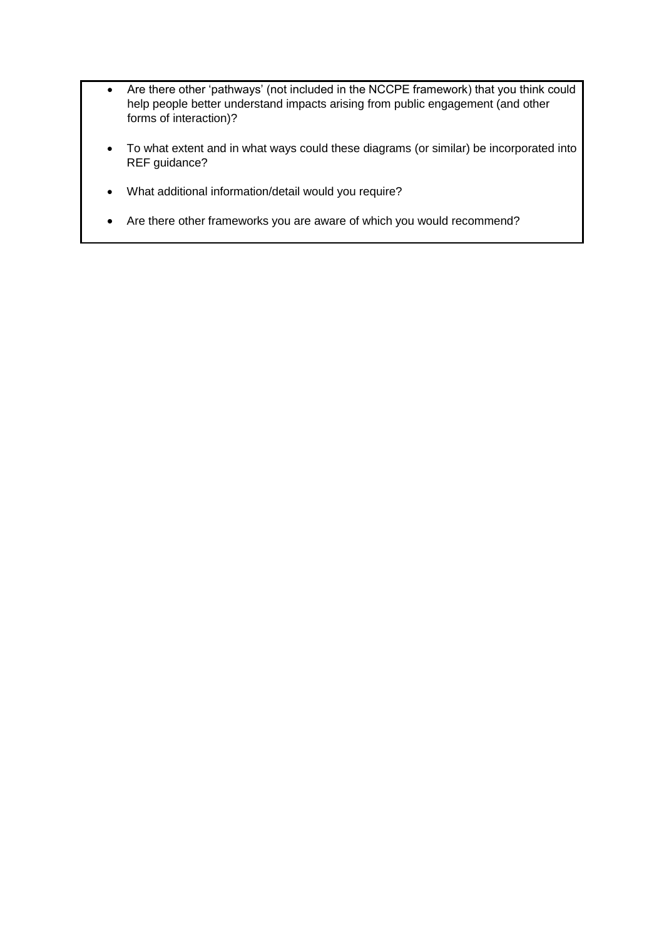- Are there other 'pathways' (not included in the NCCPE framework) that you think could help people better understand impacts arising from public engagement (and other forms of interaction)?
- To what extent and in what ways could these diagrams (or similar) be incorporated into REF guidance?
- What additional information/detail would you require?
- Are there other frameworks you are aware of which you would recommend?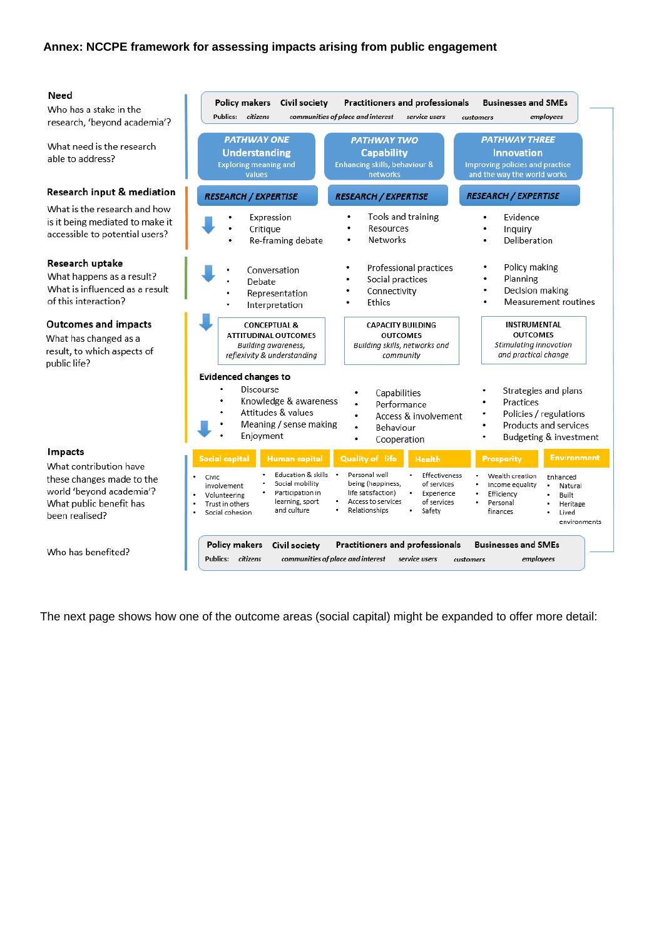#### **Need**

Who has a stake in the research, 'beyond academia'?

What need is the research able to address?

#### **Research input & mediation**

What is the research and how is it being mediated to make it accessible to potential users?

#### Research uptake

What happens as a result? What is influenced as a result of this interaction?

#### **Outcomes and impacts**

What has changed as a result, to which aspects of public life?

#### Impacts

What contribution have these changes made to the world 'beyond academia'? What public benefit has been realised?

Who has benefited?

| Policy makers Civil society<br><b>Publics:</b> citizens                                                                                                                   | Practitioners and professionals<br>communities of place and interest<br>service users                                                                                         | <b>Businesses and SMEs</b><br>employees<br>customers                                                                                                            |
|---------------------------------------------------------------------------------------------------------------------------------------------------------------------------|-------------------------------------------------------------------------------------------------------------------------------------------------------------------------------|-----------------------------------------------------------------------------------------------------------------------------------------------------------------|
| <b>PATHWAY ONE</b><br><b>Understanding</b><br><b>Exploring meaning and</b><br>values                                                                                      | <b>PATHWAY TWO</b><br><b>Capability</b><br>Enhancing skills, behaviour &<br>networks                                                                                          | <b>PATHWAY THREE</b><br><b>Innovation</b><br>Improving policies and practice<br>and the way the world works                                                     |
| <b>RESEARCH / EXPERTISE</b>                                                                                                                                               | <b>RESEARCH / EXPERTISE</b>                                                                                                                                                   | <b>RESEARCH / EXPERTISE</b>                                                                                                                                     |
| Expression<br>Critique<br>Re-framing debate                                                                                                                               | Tools and training<br>Resources<br><b>Networks</b>                                                                                                                            | Evidence<br>Inquiry<br>Deliberation                                                                                                                             |
| Conversation<br>Debate<br>Representation<br>Interpretation                                                                                                                | Professional practices<br>Social practices<br>Connectivity<br>Ethics<br>٠                                                                                                     | Policy making<br>Planning<br>Decision making<br><b>Measurement routines</b>                                                                                     |
| <b>CONCEPTUAL &amp;</b><br><b>ATTITUDINAL OUTCOMES</b><br><b>Building awareness,</b><br>reflexivity & understanding                                                       | <b>CAPACITY BUILDING</b><br><b>OUTCOMES</b><br>Building skills, networks and<br>community                                                                                     | INSTRUMENTAL<br><b>OUTCOMES</b><br>Stimulating innovation<br>and practical change                                                                               |
| <b>Evidenced changes to</b><br>Discourse<br>Knowledge & awareness<br>Attitudes & values<br>Meaning / sense making<br>Enjoyment                                            | Capabilities<br>٠<br>Performance<br>Access & involvement<br>Behaviour<br>٠<br>Cooperation<br>٠                                                                                | Strategies and plans<br>Practices<br>Policies / regulations<br>Products and services<br>٠<br>Budgeting & investment                                             |
| <b>Social capital</b><br><b>Human capital</b>                                                                                                                             | <b>Quality of life</b><br><b>Health</b>                                                                                                                                       | <b>Environment</b><br><b>Prosperity</b>                                                                                                                         |
| Education & skills<br>Civic<br>Social mobility<br>involvement<br>Participation in<br>Volunteering<br>learning, sport<br>Trust in others<br>and culture<br>Social cohesion | Personal well<br><b>Effectiveness</b><br>being (happiness,<br>of services<br>life satisfaction)<br>Experience<br>Access to services<br>of services<br>Relationships<br>Safety | Wealth creation<br>Enhanced<br>Income equality<br>Natural<br>Efficiency<br>Built<br>$\blacksquare$<br>Personal<br>Heritage<br>finances<br>Lived<br>environments |
| <b>Policy makers</b><br>Civil society<br><b>Publics:</b><br>citizens                                                                                                      | Practitioners and professionals<br>communities of place and interest<br>service users                                                                                         | <b>Businesses and SMEs</b><br>employees<br>customers                                                                                                            |

The next page shows how one of the outcome areas (social capital) might be expanded to offer more detail: